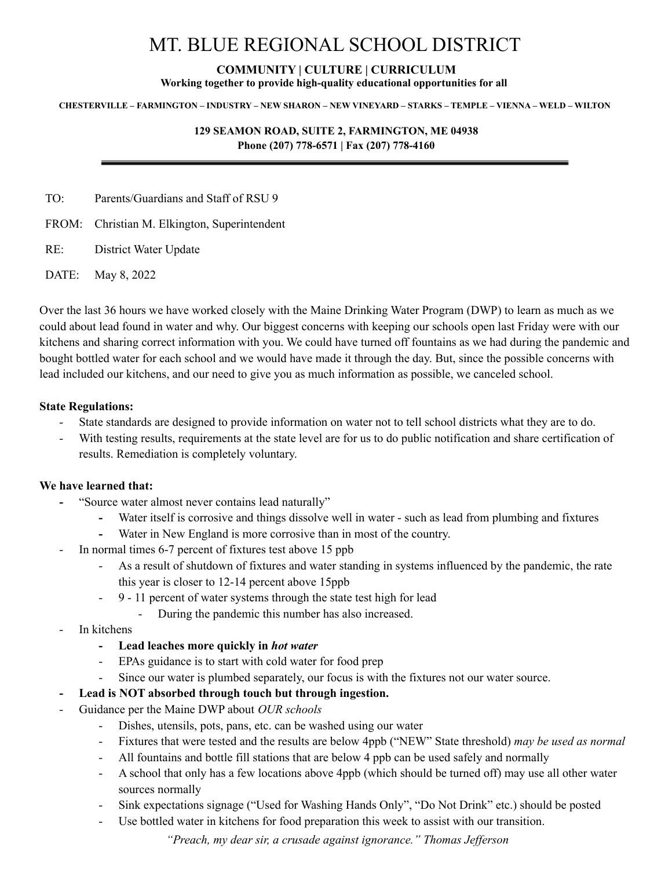# MT. BLUE REGIONAL SCHOOL DISTRICT

# **COMMUNITY | CULTURE | CURRICULUM**

**Working together to provide high-quality educational opportunities for all**

#### CHESTERVILLE – FARMINGTON – INDUSTRY – NEW SHARON – NEW VINEYARD – STARKS – TEMPLE – VIENNA – WELD – WILTON

#### **129 SEAMON ROAD, SUITE 2, FARMINGTON, ME 04938 Phone (207) 778-6571 | Fax (207) 778-4160**

TO: Parents/Guardians and Staff of RSU 9

FROM: Christian M. Elkington, Superintendent

RE: District Water Update

DATE: May 8, 2022

Over the last 36 hours we have worked closely with the Maine Drinking Water Program (DWP) to learn as much as we could about lead found in water and why. Our biggest concerns with keeping our schools open last Friday were with our kitchens and sharing correct information with you. We could have turned off fountains as we had during the pandemic and bought bottled water for each school and we would have made it through the day. But, since the possible concerns with lead included our kitchens, and our need to give you as much information as possible, we canceled school.

#### **State Regulations:**

- State standards are designed to provide information on water not to tell school districts what they are to do.
- With testing results, requirements at the state level are for us to do public notification and share certification of results. Remediation is completely voluntary.

#### **We have learned that:**

- **-** "Source water almost never contains lead naturally"
	- **-** Water itself is corrosive and things dissolve well in water such as lead from plumbing and fixtures
	- **-** Water in New England is more corrosive than in most of the country.
- In normal times 6-7 percent of fixtures test above 15 ppb
	- As a result of shutdown of fixtures and water standing in systems influenced by the pandemic, the rate this year is closer to 12-14 percent above 15ppb
	- 9 11 percent of water systems through the state test high for lead
		- During the pandemic this number has also increased.
- In kitchens
	- **- Lead leaches more quickly in** *hot water*
	- EPAs guidance is to start with cold water for food prep
	- Since our water is plumbed separately, our focus is with the fixtures not our water source.
- **- Lead is NOT absorbed through touch but through ingestion.**
- Guidance per the Maine DWP about *OUR schools*
	- Dishes, utensils, pots, pans, etc. can be washed using our water
	- Fixtures that were tested and the results are below 4ppb ("NEW" State threshold) *may be used as normal*
	- All fountains and bottle fill stations that are below 4 ppb can be used safely and normally
	- A school that only has a few locations above 4ppb (which should be turned off) may use all other water sources normally
	- Sink expectations signage ("Used for Washing Hands Only", "Do Not Drink" etc.) should be posted
	- Use bottled water in kitchens for food preparation this week to assist with our transition.

*"Preach, my dear sir, a crusade against ignorance." Thomas Jef erson*